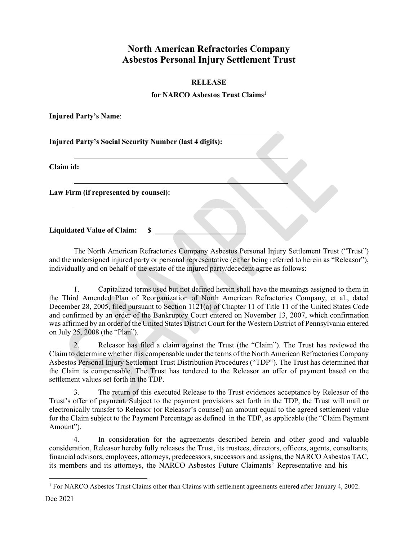## **North American Refractories Company Asbestos Personal Injury Settlement Trust**

## **RELEASE**

## **for NARCO Asbestos Trust Claim[s1](#page-0-0)**

**Injured Party's Name**:

**Injured Party's Social Security Number (last 4 digits):**

**Claim id:**

**Law Firm (if represented by counsel):**

**Liquidated Value of Claim: \$** 

The North American Refractories Company Asbestos Personal Injury Settlement Trust ("Trust") and the undersigned injured party or personal representative (either being referred to herein as "Releasor"), individually and on behalf of the estate of the injured party/decedent agree as follows:

1. Capitalized terms used but not defined herein shall have the meanings assigned to them in the Third Amended Plan of Reorganization of North American Refractories Company, et al., dated December 28, 2005, filed pursuant to Section 1121(a) of Chapter 11 of Title 11 of the United States Code and confirmed by an order of the Bankruptcy Court entered on November 13, 2007, which confirmation was affirmed by an order of the United States District Court for the Western District of Pennsylvania entered on July 25, 2008 (the "Plan").

2. Releasor has filed a claim against the Trust (the "Claim"). The Trust has reviewed the Claim to determine whether it is compensable under the terms of the North American Refractories Company Asbestos Personal Injury Settlement Trust Distribution Procedures ("TDP"). The Trust has determined that the Claim is compensable. The Trust has tendered to the Releasor an offer of payment based on the settlement values set forth in the TDP.

3. The return of this executed Release to the Trust evidences acceptance by Releasor of the Trust's offer of payment. Subject to the payment provisions set forth in the TDP, the Trust will mail or electronically transfer to Releasor (or Releasor's counsel) an amount equal to the agreed settlement value for the Claim subject to the Payment Percentage as defined in the TDP, as applicable (the "Claim Payment Amount").

4. In consideration for the agreements described herein and other good and valuable consideration, Releasor hereby fully releases the Trust, its trustees, directors, officers, agents, consultants, financial advisors, employees, attorneys, predecessors, successors and assigns, the NARCO Asbestos TAC, its members and its attorneys, the NARCO Asbestos Future Claimants' Representative and his

<span id="page-0-0"></span><sup>&</sup>lt;sup>1</sup> For NARCO Asbestos Trust Claims other than Claims with settlement agreements entered after January 4, 2002.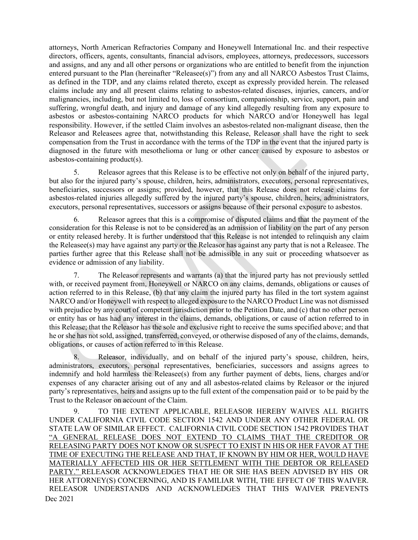attorneys, North American Refractories Company and Honeywell International Inc. and their respective directors, officers, agents, consultants, financial advisors, employees, attorneys, predecessors, successors and assigns, and any and all other persons or organizations who are entitled to benefit from the injunction entered pursuant to the Plan (hereinafter "Releasee(s)") from any and all NARCO Asbestos Trust Claims, as defined in the TDP, and any claims related thereto, except as expressly provided herein. The released claims include any and all present claims relating to asbestos-related diseases, injuries, cancers, and/or malignancies, including, but not limited to, loss of consortium, companionship, service, support, pain and suffering, wrongful death, and injury and damage of any kind allegedly resulting from any exposure to asbestos or asbestos-containing NARCO products for which NARCO and/or Honeywell has legal responsibility. However, if the settled Claim involves an asbestos-related non-malignant disease, then the Releasor and Releasees agree that, notwithstanding this Release, Releasor shall have the right to seek compensation from the Trust in accordance with the terms of the TDP in the event that the injured party is diagnosed in the future with mesothelioma or lung or other cancer caused by exposure to asbestos or asbestos-containing product(s).

5. Releasor agrees that this Release is to be effective not only on behalf of the injured party, but also for the injured party's spouse, children, heirs, administrators, executors, personal representatives, beneficiaries, successors or assigns; provided, however, that this Release does not release claims for asbestos-related injuries allegedly suffered by the injured party's spouse, children, heirs, administrators, executors, personal representatives, successors or assigns because of their personal exposure to asbestos.

6. Releasor agrees that this is a compromise of disputed claims and that the payment of the consideration for this Release is not to be considered as an admission of liability on the part of any person or entity released hereby. It is further understood that this Release is not intended to relinquish any claim the Releasee(s) may have against any party or the Releasor has against any party that is not a Releasee. The parties further agree that this Release shall not be admissible in any suit or proceeding whatsoever as evidence or admission of any liability.

7. The Releasor represents and warrants (a) that the injured party has not previously settled with, or received payment from, Honeywell or NARCO on any claims, demands, obligations or causes of action referred to in this Release, (b) that any claim the injured party has filed in the tort system against NARCO and/or Honeywell with respect to alleged exposure to the NARCO Product Line was not dismissed with prejudice by any court of competent jurisdiction prior to the Petition Date, and (c) that no other person or entity has or has had any interest in the claims, demands, obligations, or cause of action referred to in this Release; that the Releasor has the sole and exclusive right to receive the sums specified above; and that he or she has not sold, assigned, transferred, conveyed, or otherwise disposed of any of the claims, demands, obligations, or causes of action referred to in this Release.

8. Releasor, individually, and on behalf of the injured party's spouse, children, heirs, administrators, executors, personal representatives, beneficiaries, successors and assigns agrees to indemnify and hold harmless the Releasee(s) from any further payment of debts, liens, charges and/or expenses of any character arising out of any and all asbestos-related claims by Releasor or the injured party's representatives, heirs and assigns up to the full extent of the compensation paid or to be paid by the Trust to the Releasor on account of the Claim.

Dec 2021 9. TO THE EXTENT APPLICABLE, RELEASOR HEREBY WAIVES ALL RIGHTS UNDER CALIFORNIA CIVIL CODE SECTION 1542 AND UNDER ANY OTHER FEDERAL OR STATE LAW OF SIMILAR EFFECT. CALIFORNIA CIVIL CODE SECTION 1542 PROVIDES THAT "A GENERAL RELEASE DOES NOT EXTEND TO CLAIMS THAT THE CREDITOR OR RELEASING PARTY DOES NOT KNOW OR SUSPECT TO EXIST IN HIS OR HER FAVOR AT THE TIME OF EXECUTING THE RELEASE AND THAT, IF KNOWN BY HIM OR HER, WOULD HAVE MATERIALLY AFFECTED HIS OR HER SETTLEMENT WITH THE DEBTOR OR RELEASED PARTY." RELEASOR ACKNOWLEDGES THAT HE OR SHE HAS BEEN ADVISED BY HIS OR HER ATTORNEY(S) CONCERNING, AND IS FAMILIAR WITH, THE EFFECT OF THIS WAIVER. RELEASOR UNDERSTANDS AND ACKNOWLEDGES THAT THIS WAIVER PREVENTS